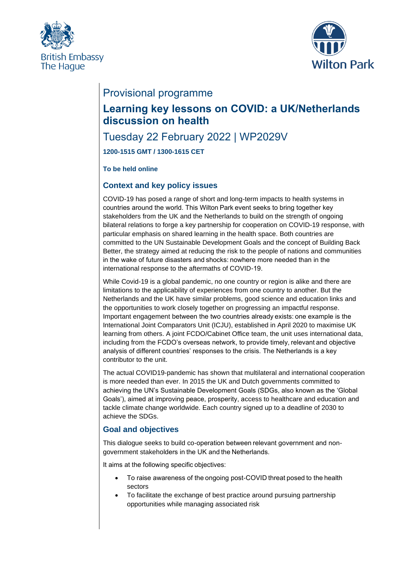



# Provisional programme

# **Learning key lessons on COVID: a UK/Netherlands discussion on health**

## Tuesday 22 February 2022 | WP2029V

**1200-1515 GMT / 1300-1615 CET**

#### **To be held online**

### **Context and key policy issues**

COVID-19 has posed a range of short and long-term impacts to health systems in countries around the world. This Wilton Park event seeks to bring together key stakeholders from the UK and the Netherlands to build on the strength of ongoing bilateral relations to forge a key partnership for cooperation on COVID-19 response, with particular emphasis on shared learning in the health space. Both countries are committed to the UN Sustainable Development Goals and the concept of Building Back Better, the strategy aimed at reducing the risk to the people of nations and communities in the wake of future disasters and shocks: nowhere more needed than in the international response to the aftermaths of COVID-19.  

While Covid-19 is a global pandemic, no one country or region is alike and there are limitations to the applicability of experiences from one country to another. But the Netherlands and the UK have similar problems, good science and education links and the opportunities to work closely together on progressing an impactful response. Important engagement between the two countries already exists: one example is the International Joint Comparators Unit (ICJU), established in April 2020 to maximise UK learning from others. A joint FCDO/Cabinet Office team, the unit uses international data, including from the FCDO's overseas network, to provide timely, relevant and objective analysis of different countries' responses to the crisis. The Netherlands is a key contributor to the unit.

The actual COVID19-pandemic has shown that multilateral and international cooperation is more needed than ever. In 2015 the UK and Dutch governments committed to achieving the UN's Sustainable Development Goals (SDGs, also known as the 'Global Goals'), aimed at improving peace, prosperity, access to healthcare and education and tackle climate change worldwide. Each country signed up to a deadline of 2030 to achieve the SDGs.

## **Goal and objectives**

This dialogue seeks to build co-operation between relevant government and nongovernment stakeholders in the UK and the Netherlands.  

It aims at the following specific objectives: 

- To raise awareness of the ongoing post-COVID threat posed to the health sectors
- To facilitate the exchange of best practice around pursuing partnership opportunities while managing associated risk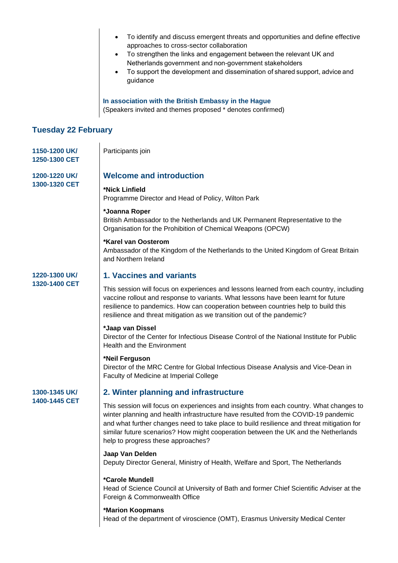|                                | To identify and discuss emergent threats and opportunities and define effective<br>$\bullet$<br>approaches to cross-sector collaboration<br>To strengthen the links and engagement between the relevant UK and<br>Netherlands government and non-government stakeholders<br>To support the development and dissemination of shared support, advice and<br>guidance<br>In association with the British Embassy in the Hague |
|--------------------------------|----------------------------------------------------------------------------------------------------------------------------------------------------------------------------------------------------------------------------------------------------------------------------------------------------------------------------------------------------------------------------------------------------------------------------|
|                                | (Speakers invited and themes proposed * denotes confirmed)                                                                                                                                                                                                                                                                                                                                                                 |
| <b>Tuesday 22 February</b>     |                                                                                                                                                                                                                                                                                                                                                                                                                            |
| 1150-1200 UK/<br>1250-1300 CET | Participants join                                                                                                                                                                                                                                                                                                                                                                                                          |
| 1200-1220 UK/<br>1300-1320 CET | <b>Welcome and introduction</b>                                                                                                                                                                                                                                                                                                                                                                                            |
|                                | *Nick Linfield<br>Programme Director and Head of Policy, Wilton Park                                                                                                                                                                                                                                                                                                                                                       |
|                                | *Joanna Roper<br>British Ambassador to the Netherlands and UK Permanent Representative to the<br>Organisation for the Prohibition of Chemical Weapons (OPCW)                                                                                                                                                                                                                                                               |
|                                | *Karel van Oosterom<br>Ambassador of the Kingdom of the Netherlands to the United Kingdom of Great Britain<br>and Northern Ireland                                                                                                                                                                                                                                                                                         |
| 1220-1300 UK/<br>1320-1400 CET | 1. Vaccines and variants                                                                                                                                                                                                                                                                                                                                                                                                   |
|                                | This session will focus on experiences and lessons learned from each country, including<br>vaccine rollout and response to variants. What lessons have been learnt for future<br>resilience to pandemics. How can cooperation between countries help to build this<br>resilience and threat mitigation as we transition out of the pandemic?                                                                               |
|                                | *Jaap van Dissel<br>Director of the Center for Infectious Disease Control of the National Institute for Public<br><b>Health and the Environment</b>                                                                                                                                                                                                                                                                        |
|                                | *Neil Ferguson<br>Director of the MRC Centre for Global Infectious Disease Analysis and Vice-Dean in<br>Faculty of Medicine at Imperial College                                                                                                                                                                                                                                                                            |
| 1300-1345 UK/<br>1400-1445 CET | 2. Winter planning and infrastructure                                                                                                                                                                                                                                                                                                                                                                                      |
|                                | This session will focus on experiences and insights from each country. What changes to<br>winter planning and health infrastructure have resulted from the COVID-19 pandemic<br>and what further changes need to take place to build resilience and threat mitigation for<br>similar future scenarios? How might cooperation between the UK and the Netherlands<br>help to progress these approaches?                      |
|                                | Jaap Van Delden<br>Deputy Director General, Ministry of Health, Welfare and Sport, The Netherlands                                                                                                                                                                                                                                                                                                                         |
|                                | *Carole Mundell<br>Head of Science Council at University of Bath and former Chief Scientific Adviser at the<br>Foreign & Commonwealth Office                                                                                                                                                                                                                                                                               |
|                                | *Marion Koopmans<br>Head of the department of viroscience (OMT), Erasmus University Medical Center                                                                                                                                                                                                                                                                                                                         |